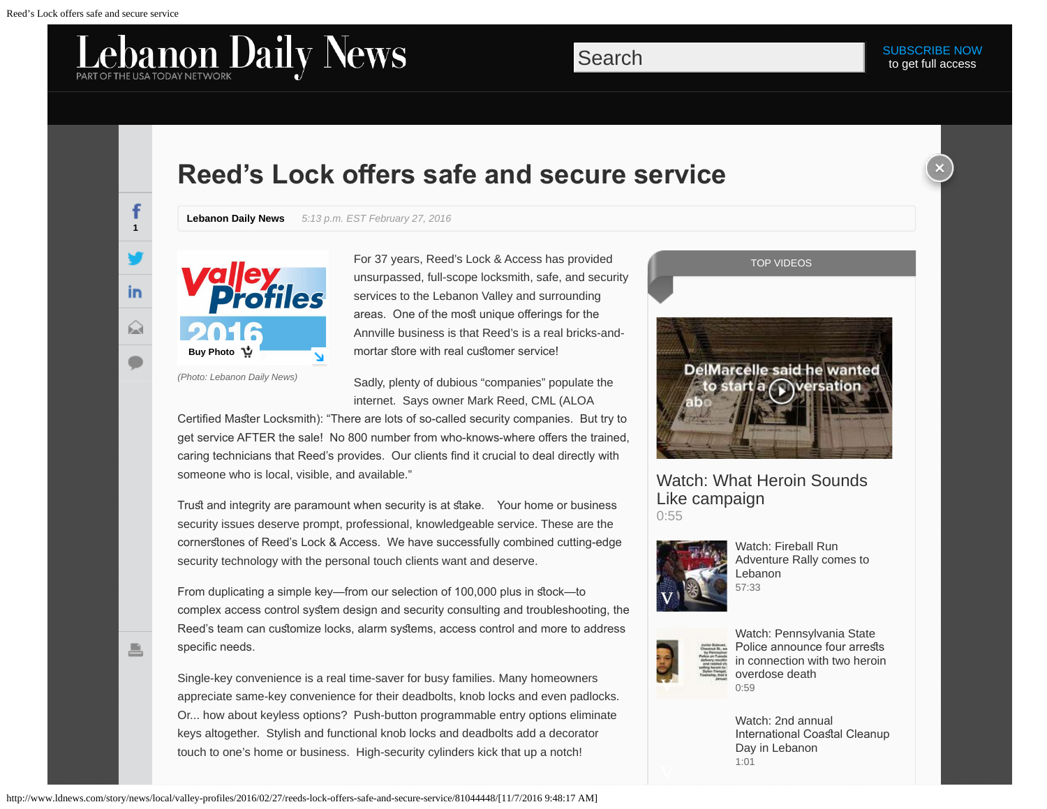**1**

**in** 

 $\Omega$ 

昌

f

## **Reed's Lock ofers safe and secure service**

**Lebanon Daily News** *5:13 p.m. EST February 27, 2016*



For 37 years, Reed's Lock & Access has provided unsurpassed, full-scope locksmith, safe, and security services to the Lebanon Valley and surrounding areas. One of the most unique offerings for the Annville business is that Reed's is a real bricks-andmortar store with real customer service!

*(Photo: Lebanon Daily News)*

Sadly, plenty of dubious "companies" populate the internet. Says owner Mark Reed, CML (ALOA

Certified Master Locksmith): "There are lots of so-called security companies. But try to get service AFTER the sale! No 800 number from who-knows-where ofers the trained, caring technicians that Reed's provides. Our clients fnd it crucial to deal directly with someone who is local, visible, and available."

Trust and integrity are paramount when security is at stake. Your home or business security issues deserve prompt, professional, knowledgeable service. These are the cornerstones of Reed's Lock & Access. We have successfully combined cutting-edge security technology with the personal touch clients want and deserve.

From duplicating a simple key—from our selection of 100,000 plus in stock—to complex access control system design and security consulting and troubleshooting, the Reed's team can customize locks, alarm systems, access control and more to address specific needs.

Single-key convenience is a real time-saver for busy families. Many homeowners appreciate same-key convenience for their deadbolts, knob locks and even padlocks. Or... how about keyless options? Push-button programmable entry options eliminate keys altogether. Stylish and functional knob locks and deadbolts add a decorator touch to one's home or business. High-security cylinders kick that up a notch!





[Watch: What Heroin Sounds](http://www.ldnews.com/videos/news/4587496715001/5150027398001) [Like campaign](http://www.ldnews.com/videos/news/4587496715001/5150027398001) [0:55](http://www.ldnews.com/videos/news/4587496715001/5150027398001)



[Watch: Fireball Run](http://www.ldnews.com/videos/news/4587496715001/5144385450001) [Adventure Rally comes to](http://www.ldnews.com/videos/news/4587496715001/5144385450001) [Lebanon](http://www.ldnews.com/videos/news/4587496715001/5144385450001) [57:33](http://www.ldnews.com/videos/news/4587496715001/5144385450001)



[Watch: Pennsylvania State](http://www.ldnews.com/videos/news/4587496715001/5134003747001) Police [announce](http://www.ldnews.com/videos/news/4587496715001/5134003747001) four arrests [in connection with two heroin](http://www.ldnews.com/videos/news/4587496715001/5134003747001) [overdose death](http://www.ldnews.com/videos/news/4587496715001/5134003747001)  $0.59$ 

[Watch: 2nd annual](http://www.ldnews.com/videos/news/4587496715001/5133868639001) [International](http://www.ldnews.com/videos/news/4587496715001/5133868639001) Coastal Cleanup [Day in Lebanon](http://www.ldnews.com/videos/news/4587496715001/5133868639001) [1:01](http://www.ldnews.com/videos/news/4587496715001/5133868639001)

http://www.ldnews.com/story/news/local/valley-profiles/2016/02/27/reeds-lock-offers-safe-and-secure-service/81044448/[11/7/2016 9:48:17 AM]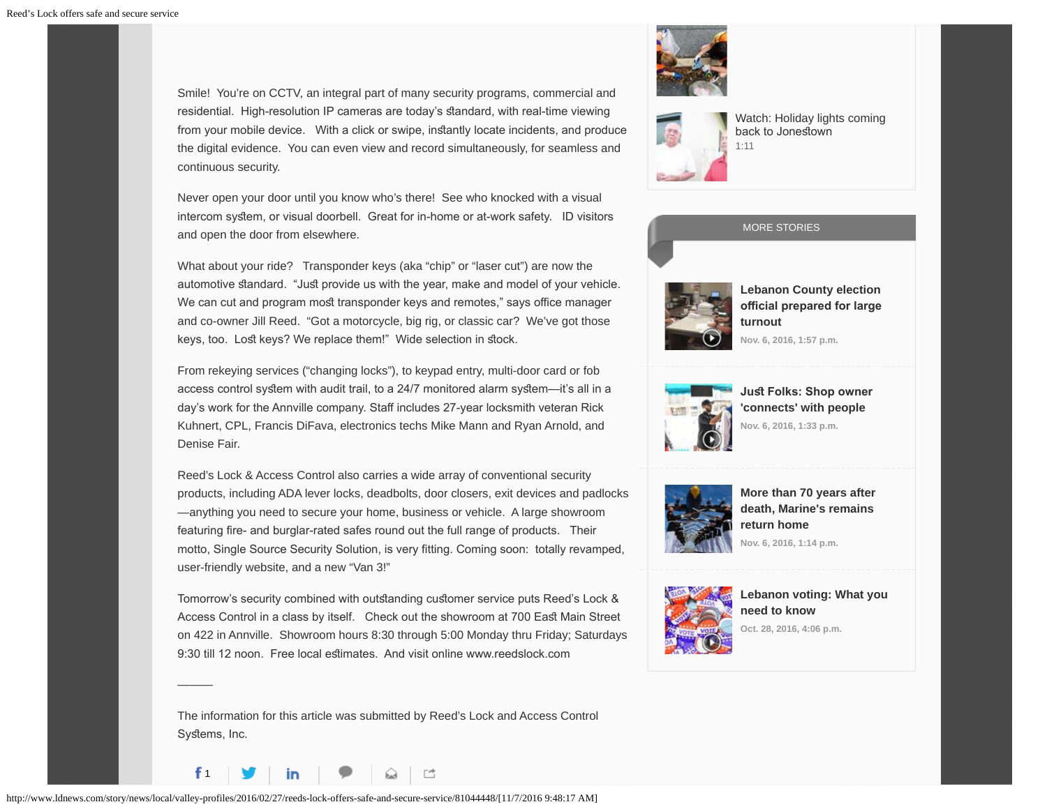Smile! You're on CCTV, an integral part of many security programs, commercial and residential. High-resolution IP cameras are today's standard, with real-time viewing from your mobile device. With a click or swipe, instantly locate incidents, and produce the digital evidence. You can even view and record simultaneously, for seamless and continuous security.

Never open your door until you know who's there! See who knocked with a visual intercom system, or visual doorbell. Great for in-home or at-work safety. ID visitors and open the door from elsewhere.

What about your ride? Transponder keys (aka "chip" or "laser cut") are now the automotive standard. "Just provide us with the year, make and model of your vehicle. We can cut and program most transponder keys and remotes," says office manager and co-owner Jill Reed. "Got a motorcycle, big rig, or classic car? We've got those keys, too. Lost keys? We replace them!" Wide selection in stock.

From rekeying services ("changing locks"), to keypad entry, multi-door card or fob access control system with audit trail, to a 24/7 monitored alarm system—it's all in a day's work for the Annville company. Staff includes 27-year locksmith veteran Rick Kuhnert, CPL, Francis DiFava, electronics techs Mike Mann and Ryan Arnold, and Denise Fair.

Reed's Lock & Access Control also carries a wide array of conventional security products, including ADA lever locks, deadbolts, door closers, exit devices and padlocks —anything you need to secure your home, business or vehicle. A large showroom featuring fre- and burglar-rated safes round out the full range of products. Their motto, Single Source Security Solution, is very ftting. Coming soon: totally revamped, user-friendly website, and a new "Van 3!"

Tomorrow's security combined with outstanding customer service puts Reed's Lock & Access Control in a class by itself. Check out the showroom at 700 East Main Street on 422 in Annville. Showroom hours 8:30 through 5:00 Monday thru Friday; Saturdays 9:30 till 12 noon. Free local estimates. And visit online www.reedslock.com

The information for this article was submitted by Reed's Lock and Access Control Systems, Inc.





[Watch: Holiday lights coming](http://www.ldnews.com/videos/news/4587496715001/5126881298001) back to Jonestown [1:11](http://www.ldnews.com/videos/news/4587496715001/5126881298001)





**[Lebanon County election](http://www.ldnews.com/story/news/politics/elections/2016/11/06/lebanon-county-election-official-prepared-large-turnout/93159954/) official prepared for large [turnout](http://www.ldnews.com/story/news/politics/elections/2016/11/06/lebanon-county-election-official-prepared-large-turnout/93159954/) Nov. 6, 2016, 1:57 p.m.**



**Just Folks: Shop owner ['connects' with people](http://www.ldnews.com/story/news/local/2016/11/06/just-folks-shop-owner-connects-people/93107706/) Nov. 6, 2016, 1:33 p.m.**



**[More than 70 years after](http://www.ldnews.com/story/news/2016/11/06/more-than-70-years-after-death-marines-remains-return-home/93392376/) [death, Marine's remains](http://www.ldnews.com/story/news/2016/11/06/more-than-70-years-after-death-marines-remains-return-home/93392376/) [return home](http://www.ldnews.com/story/news/2016/11/06/more-than-70-years-after-death-marines-remains-return-home/93392376/) Nov. 6, 2016, 1:14 p.m.**



**[Lebanon voting: What you](http://www.ldnews.com/story/news/politics/2016/10/28/lebanon-voting-what-you-need-know/92850220/) [need to know](http://www.ldnews.com/story/news/politics/2016/10/28/lebanon-voting-what-you-need-know/92850220/)**

**Oct. 28, 2016, 4:06 p.m.**

1

———